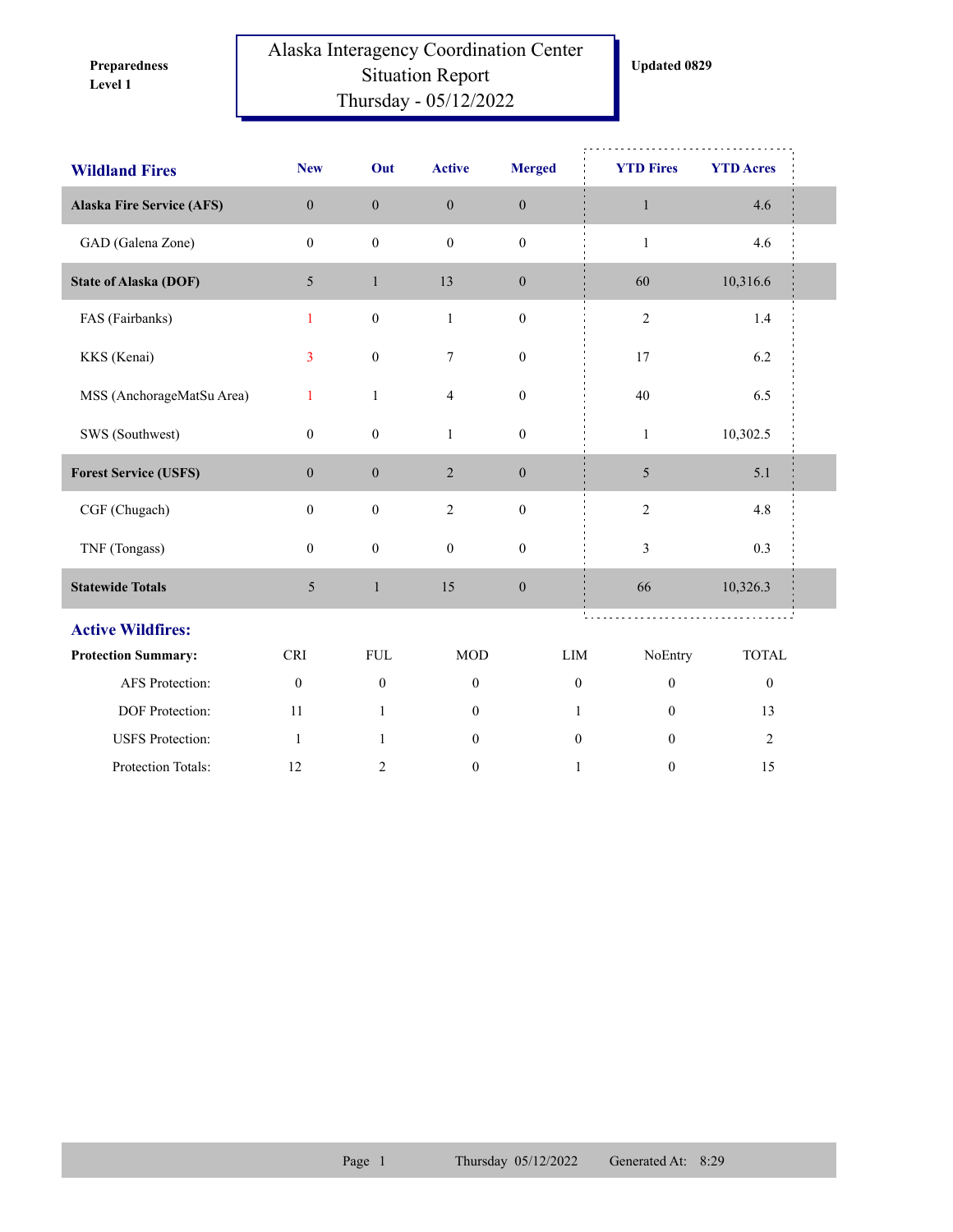**Level 1 Preparedness** 

## Alaska Interagency Coordination Center Situation Report Thursday - 05/12/2022

**Updated 0829**

| <b>Wildland Fires</b>            | <b>New</b>       | Out              | <b>Active</b>    | <b>Merged</b>    | <b>YTD Fires</b>        | <b>YTD Acres</b> |  |
|----------------------------------|------------------|------------------|------------------|------------------|-------------------------|------------------|--|
| <b>Alaska Fire Service (AFS)</b> | $\boldsymbol{0}$ | $\boldsymbol{0}$ | $\boldsymbol{0}$ | $\boldsymbol{0}$ | $\mathbf{1}$            | 4.6              |  |
| GAD (Galena Zone)                | $\mathbf{0}$     | $\mathbf{0}$     | $\mathbf{0}$     | $\mathbf{0}$     | $\mathbf{1}$            | 4.6              |  |
| <b>State of Alaska (DOF)</b>     | 5                | $\mathbf{1}$     | 13               | $\boldsymbol{0}$ | 60                      | 10,316.6         |  |
| FAS (Fairbanks)                  | $\mathbf{1}$     | $\boldsymbol{0}$ | $\mathbf{1}$     | $\boldsymbol{0}$ | $\overline{c}$          | 1.4              |  |
| KKS (Kenai)                      | 3                | $\boldsymbol{0}$ | $\tau$           | $\boldsymbol{0}$ | 17                      | 6.2              |  |
| MSS (AnchorageMatSu Area)        | 1                | $\mathbf{1}$     | $\overline{4}$   | $\boldsymbol{0}$ | 40                      | 6.5              |  |
| SWS (Southwest)                  | $\boldsymbol{0}$ | $\boldsymbol{0}$ | $\mathbf{1}$     | $\boldsymbol{0}$ | $\mathbf{1}$            | 10,302.5         |  |
| <b>Forest Service (USFS)</b>     | $\mathbf{0}$     | $\mathbf{0}$     | $\overline{2}$   | $\boldsymbol{0}$ | 5                       | 5.1              |  |
| CGF (Chugach)                    | $\boldsymbol{0}$ | $\mathbf{0}$     | $\overline{2}$   | $\boldsymbol{0}$ | $\overline{c}$          | 4.8              |  |
| TNF (Tongass)                    | $\mathbf{0}$     | $\boldsymbol{0}$ | $\mathbf{0}$     | $\boldsymbol{0}$ | $\overline{\mathbf{3}}$ | 0.3              |  |
| <b>Statewide Totals</b>          | 5                | $\mathbf{1}$     | 15               | $\boldsymbol{0}$ | 66                      | 10,326.3         |  |
| <b>Active Wildfires:</b>         |                  |                  |                  |                  |                         |                  |  |
| <b>Protection Summary:</b>       | <b>CRI</b>       | ${\rm FUL}$      | <b>MOD</b>       | LIM              | NoEntry                 | <b>TOTAL</b>     |  |
| AFS Protection:                  | $\boldsymbol{0}$ | $\boldsymbol{0}$ | $\boldsymbol{0}$ | $\boldsymbol{0}$ | $\boldsymbol{0}$        | $\boldsymbol{0}$ |  |
| DOF Protection:                  | 11               | $\mathbf{1}$     | $\boldsymbol{0}$ | $\mathbf{1}$     | $\overline{0}$          | 13               |  |
| <b>USFS</b> Protection:          | -1               | $\mathbf{1}$     | $\boldsymbol{0}$ | $\mathbf{0}$     | $\mathbf{0}$            | $\overline{2}$   |  |
| Protection Totals:               | 12               | 2                | $\boldsymbol{0}$ | $\mathbf{1}$     | 0                       | 15               |  |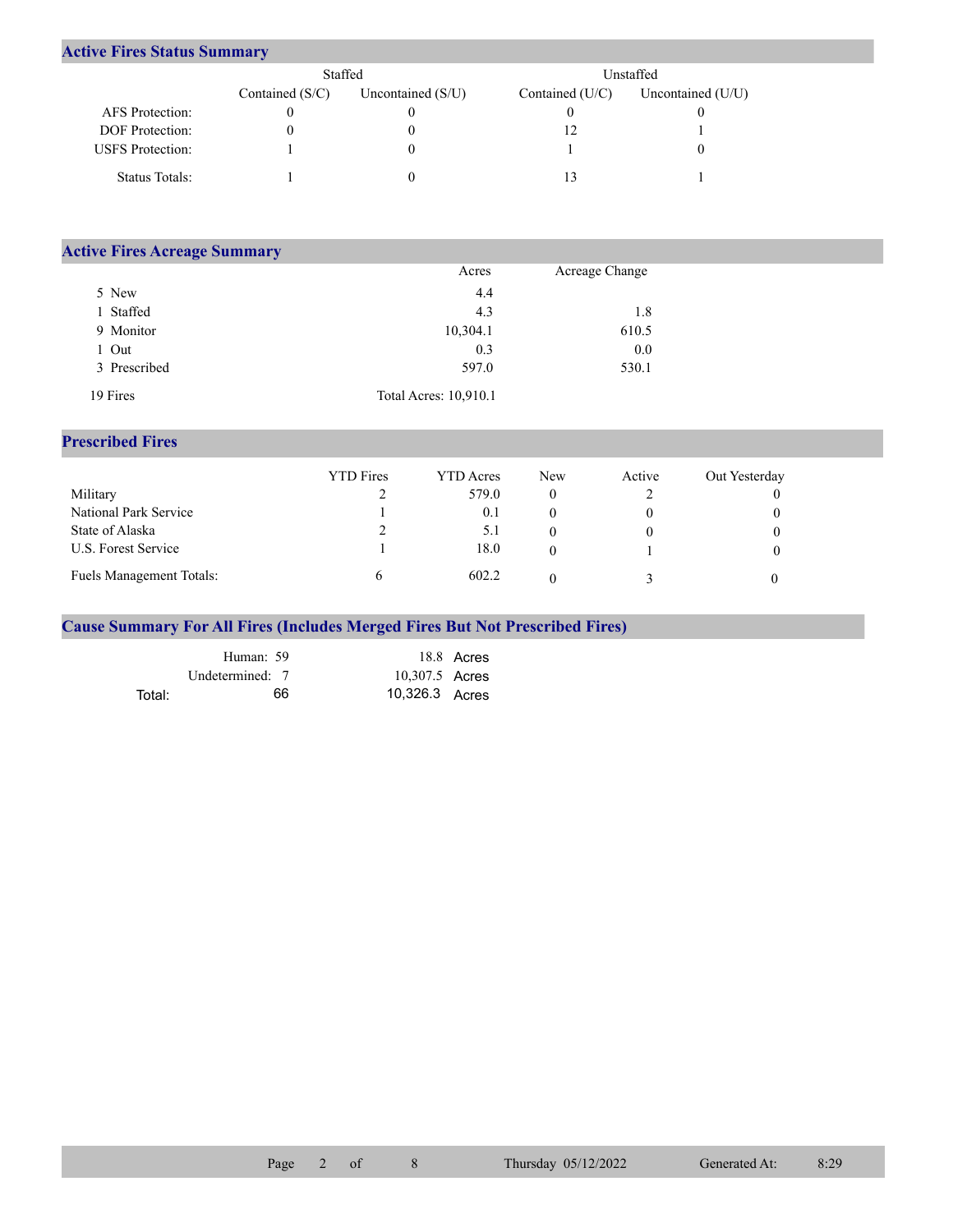## **Active Fires Status Summary**

|                         | Staffed           |                     | Unstaffed         |                     |  |  |
|-------------------------|-------------------|---------------------|-------------------|---------------------|--|--|
|                         | Contained $(S/C)$ | Uncontained $(S/U)$ | Contained $(U/C)$ | Uncontained $(U/U)$ |  |  |
| AFS Protection:         |                   |                     |                   |                     |  |  |
| <b>DOF</b> Protection:  |                   |                     |                   |                     |  |  |
| <b>USFS</b> Protection: |                   |                     |                   |                     |  |  |
| Status Totals:          |                   |                     |                   |                     |  |  |

| <b>Active Fires Acreage Summary</b> |                       |                |  |
|-------------------------------------|-----------------------|----------------|--|
|                                     | Acres                 | Acreage Change |  |
| 5 New                               | 4.4                   |                |  |
| l Staffed                           | 4.3                   | 1.8            |  |
| 9 Monitor                           | 10,304.1              | 610.5          |  |
| Out                                 | 0.3                   | 0.0            |  |
| 3 Prescribed                        | 597.0                 | 530.1          |  |
| 19 Fires                            | Total Acres: 10,910.1 |                |  |

## **Prescribed Fires**

|                                 | <b>YTD</b> Fires | YTD Acres | <b>New</b> | Active | Out Yesterday |
|---------------------------------|------------------|-----------|------------|--------|---------------|
| Military                        |                  | 579.0     |            |        |               |
| National Park Service           |                  | 0.1       |            |        |               |
| State of Alaska                 |                  | 5.1       |            |        |               |
| U.S. Forest Service             |                  | 18.0      |            |        |               |
| <b>Fuels Management Totals:</b> |                  | 602.2     |            |        |               |

## **Cause Summary For All Fires (Includes Merged Fires But Not Prescribed Fires)**

|        | Human: 59       |                | 18.8 Acres |
|--------|-----------------|----------------|------------|
|        | Undetermined: 7 | 10,307.5 Acres |            |
| Total: | 66              | 10,326.3 Acres |            |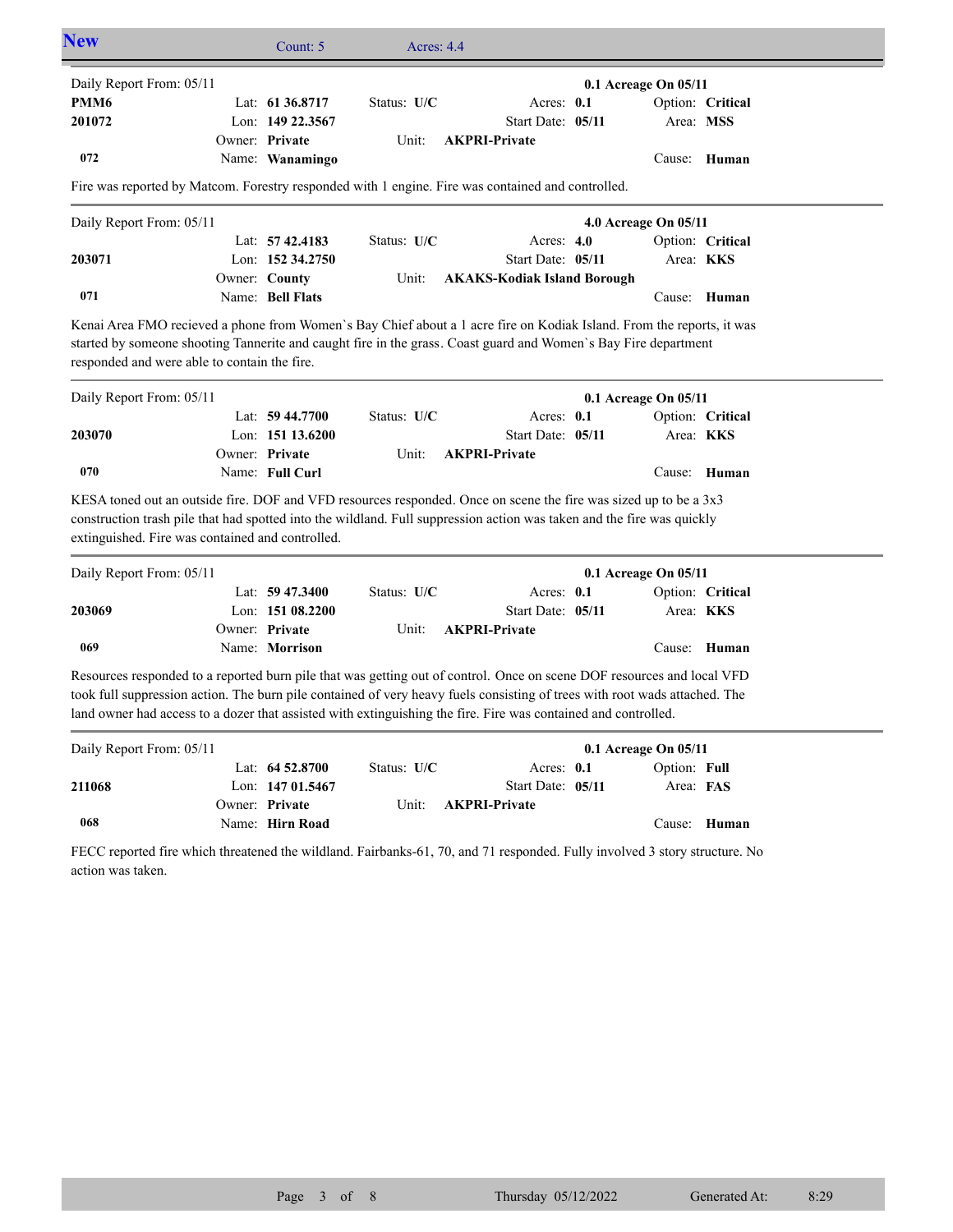| <b>New</b>                                                                                                                                                                                                                                                                               | Count: 5           | Acres: $4.4$ |                                    |                      |                  |  |
|------------------------------------------------------------------------------------------------------------------------------------------------------------------------------------------------------------------------------------------------------------------------------------------|--------------------|--------------|------------------------------------|----------------------|------------------|--|
| Daily Report From: 05/11                                                                                                                                                                                                                                                                 |                    |              |                                    | 0.1 Acreage On 05/11 |                  |  |
| PMM6                                                                                                                                                                                                                                                                                     | Lat: $61\,36.8717$ | Status: U/C  | Acres: 0.1                         |                      | Option: Critical |  |
| 201072                                                                                                                                                                                                                                                                                   | Lon: 149 22.3567   |              | Start Date: 05/11                  |                      | Area: MSS        |  |
|                                                                                                                                                                                                                                                                                          | Owner: Private     | Unit:        | <b>AKPRI-Private</b>               |                      |                  |  |
| 072                                                                                                                                                                                                                                                                                      | Name: Wanamingo    |              |                                    | Cause:               | Human            |  |
| Fire was reported by Matcom. Forestry responded with 1 engine. Fire was contained and controlled.                                                                                                                                                                                        |                    |              |                                    |                      |                  |  |
| Daily Report From: 05/11                                                                                                                                                                                                                                                                 |                    |              |                                    | 4.0 Acreage On 05/11 |                  |  |
|                                                                                                                                                                                                                                                                                          | Lat: $57\,42.4183$ | Status: U/C  | Acres: $4.0$                       |                      | Option: Critical |  |
| 203071                                                                                                                                                                                                                                                                                   | Lon: 152 34.2750   |              | Start Date: 05/11                  |                      | Area: KKS        |  |
|                                                                                                                                                                                                                                                                                          | Owner: County      | Unit:        | <b>AKAKS-Kodiak Island Borough</b> |                      |                  |  |
| 071                                                                                                                                                                                                                                                                                      | Name: Bell Flats   |              |                                    | Cause:               | Human            |  |
| Kenai Area FMO recieved a phone from Women's Bay Chief about a 1 acre fire on Kodiak Island. From the reports, it was<br>started by someone shooting Tannerite and caught fire in the grass. Coast guard and Women's Bay Fire department<br>responded and were able to contain the fire. |                    |              |                                    |                      |                  |  |
| Daily Report From: 05/11                                                                                                                                                                                                                                                                 |                    |              |                                    | 0.1 Acreage On 05/11 |                  |  |
|                                                                                                                                                                                                                                                                                          | Lat: $59\,44.7700$ | Status: U/C  | Acres: 0.1                         |                      | Option: Critical |  |
| 203070                                                                                                                                                                                                                                                                                   | Lon: 151 13.6200   |              | Start Date: 05/11                  |                      | Area: KKS        |  |

**Private AKPRI-Private**

Cause: **Human** KESA toned out an outside fire. DOF and VFD resources responded. Once on scene the fire was sized up to be a 3x3 construction trash pile that had spotted into the wildland. Full suppression action was taken and the fire was quickly extinguished. Fire was contained and controlled.

Name: **Full Curl**

Owner: Private

**070**

| Daily Report From: 05/11 |                    |               |                            | $0.1$ Acreage On $05/11$ |  |
|--------------------------|--------------------|---------------|----------------------------|--------------------------|--|
|                          | Lat: $59\,47.3400$ | Status: $U/C$ | Acres: $0.1$               | Option: Critical         |  |
| 203069                   | Lon: $15108.2200$  |               | Start Date: 05/11          | Area: <b>KKS</b>         |  |
|                          | Owner: Private     |               | Unit: <b>AKPRI-Private</b> |                          |  |
| 069                      | Name: Morrison     |               |                            | Cause: Human             |  |

Resources responded to a reported burn pile that was getting out of control. Once on scene DOF resources and local VFD took full suppression action. The burn pile contained of very heavy fuels consisting of trees with root wads attached. The land owner had access to a dozer that assisted with extinguishing the fire. Fire was contained and controlled.

| Daily Report From: 05/11 |                    |               |                            | $0.1$ Acreage On $05/11$ |              |
|--------------------------|--------------------|---------------|----------------------------|--------------------------|--------------|
|                          | Lat: $64\,52.8700$ | Status: $U/C$ | Acres: $0.1$               | Option: Full             |              |
| 211068                   | Lon: $14701.5467$  |               | Start Date: 05/11          | Area: FAS                |              |
|                          | Owner: Private     |               | Unit: <b>AKPRI-Private</b> |                          |              |
| 068                      | Name: Hirn Road    |               |                            |                          | Cause: Human |

FECC reported fire which threatened the wildland. Fairbanks-61, 70, and 71 responded. Fully involved 3 story structure. No action was taken.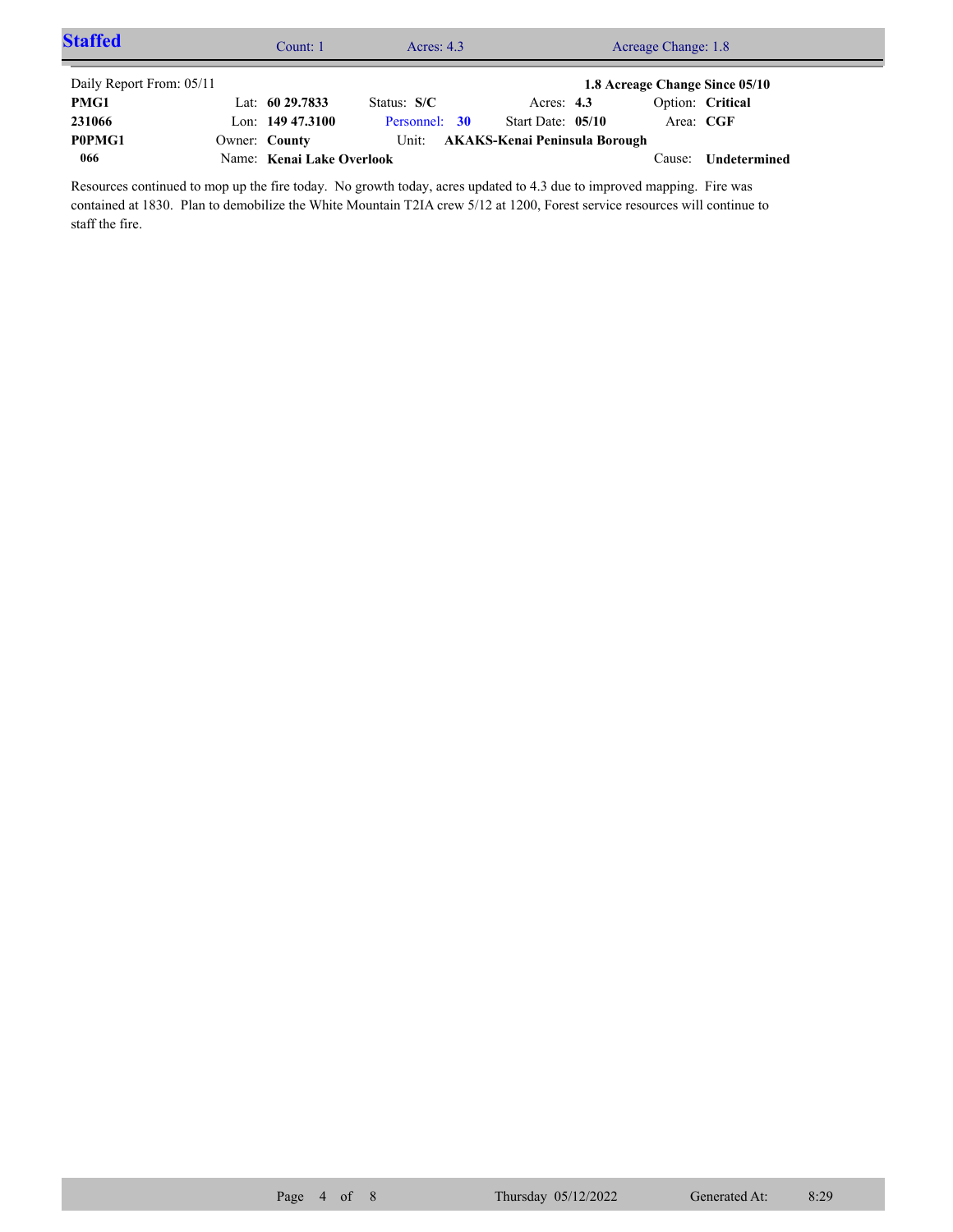| <b>Staffed</b>           | Count: 1                  | Acres: $4.3$  |                               | Acreage Change: 1.8            |                  |  |
|--------------------------|---------------------------|---------------|-------------------------------|--------------------------------|------------------|--|
| Daily Report From: 05/11 |                           |               |                               | 1.8 Acreage Change Since 05/10 |                  |  |
| PMG1                     | Lat: $6029.7833$          | Status: $S/C$ | Acres: $4.3$                  |                                | Option: Critical |  |
| 231066                   | Lon: $149\,47.3100$       | Personnel: 30 | Start Date: 05/10             | Area: CGF                      |                  |  |
| P0PMG1                   | Owner: County             | Unit:         | AKAKS-Kenai Peninsula Borough |                                |                  |  |
| 066                      | Name: Kenai Lake Overlook |               |                               | Cause:                         | Undetermined     |  |

Resources continued to mop up the fire today. No growth today, acres updated to 4.3 due to improved mapping. Fire was contained at 1830. Plan to demobilize the White Mountain T2IA crew 5/12 at 1200, Forest service resources will continue to staff the fire.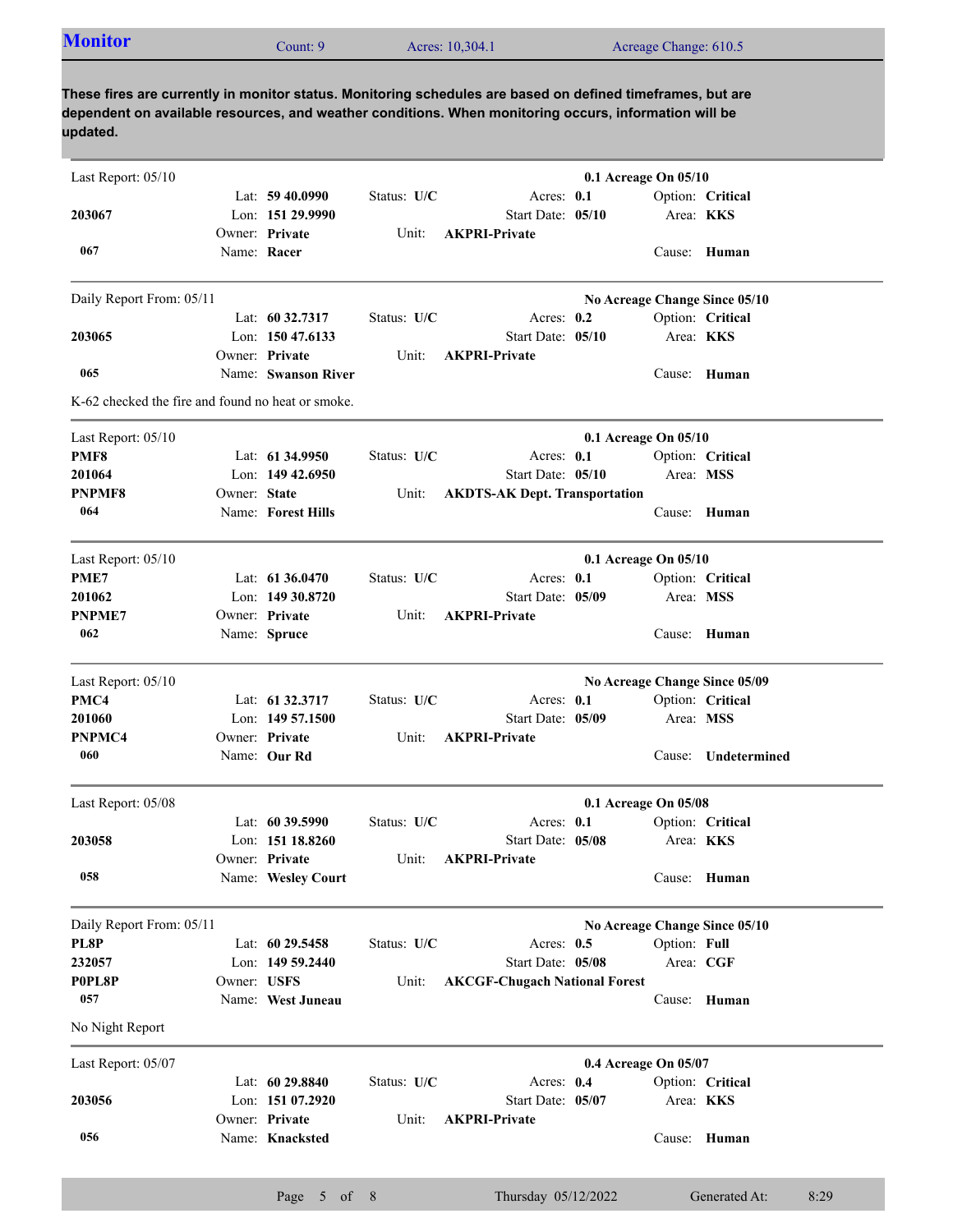| <b>Monitor</b><br>Acres: 10,304.1<br>Acreage Change: 610.5<br>Count: 9 |  |
|------------------------------------------------------------------------|--|
|------------------------------------------------------------------------|--|

**These fires are currently in monitor status. Monitoring schedules are based on defined timeframes, but are dependent on available resources, and weather conditions. When monitoring occurs, information will be updated.**

| Last Report: 05/10                                |              |                     |             |                                      | 0.1 Acreage On 05/10 |              |                               |      |
|---------------------------------------------------|--------------|---------------------|-------------|--------------------------------------|----------------------|--------------|-------------------------------|------|
|                                                   |              | Lat: $59\,40.0990$  | Status: U/C | Acres: 0.1                           |                      |              | Option: Critical              |      |
| 203067                                            |              | Lon: 151 29.9990    |             | Start Date: 05/10                    |                      |              | Area: KKS                     |      |
|                                                   |              | Owner: Private      | Unit:       | <b>AKPRI-Private</b>                 |                      |              |                               |      |
| 067                                               |              | Name: Racer         |             |                                      |                      |              | Cause: Human                  |      |
| Daily Report From: 05/11                          |              |                     |             |                                      |                      |              | No Acreage Change Since 05/10 |      |
|                                                   |              | Lat: 60 32.7317     | Status: U/C | Acres: 0.2                           |                      |              | Option: Critical              |      |
| 203065                                            |              | Lon: 150 47.6133    |             | Start Date: 05/10                    |                      |              | Area: <b>KKS</b>              |      |
|                                                   |              | Owner: Private      | Unit:       | <b>AKPRI-Private</b>                 |                      |              |                               |      |
| 065                                               |              | Name: Swanson River |             |                                      |                      |              | Cause: Human                  |      |
| K-62 checked the fire and found no heat or smoke. |              |                     |             |                                      |                      |              |                               |      |
| Last Report: 05/10                                |              |                     |             |                                      | 0.1 Acreage On 05/10 |              |                               |      |
| PMF8                                              |              | Lat: $61\,34.9950$  | Status: U/C | Acres: 0.1                           |                      |              | Option: Critical              |      |
| 201064                                            |              | Lon: $14942.6950$   |             | Start Date: 05/10                    |                      |              | Area: MSS                     |      |
| PNPMF8                                            | Owner: State |                     | Unit:       | <b>AKDTS-AK Dept. Transportation</b> |                      |              |                               |      |
| 064                                               |              | Name: Forest Hills  |             |                                      |                      | Cause:       | Human                         |      |
| Last Report: 05/10                                |              |                     |             |                                      | 0.1 Acreage On 05/10 |              |                               |      |
| PME7                                              |              | Lat: $61\,36.0470$  | Status: U/C | Acres: 0.1                           |                      |              | Option: Critical              |      |
| 201062                                            |              | Lon: 149 30.8720    |             | Start Date: 05/09                    |                      |              | Area: MSS                     |      |
| <b>PNPME7</b>                                     |              | Owner: Private      | Unit:       | <b>AKPRI-Private</b>                 |                      |              |                               |      |
| 062                                               |              | Name: Spruce        |             |                                      |                      | Cause:       | Human                         |      |
|                                                   |              |                     |             |                                      |                      |              |                               |      |
| Last Report: 05/10                                |              |                     |             |                                      |                      |              | No Acreage Change Since 05/09 |      |
| PMC4                                              |              | Lat: 61 32.3717     | Status: U/C | Acres: 0.1                           |                      |              | Option: Critical              |      |
| 201060                                            |              | Lon: 149 57.1500    |             | Start Date: 05/09                    |                      |              | Area: MSS                     |      |
| PNPMC4                                            |              | Owner: Private      | Unit:       | <b>AKPRI-Private</b>                 |                      |              |                               |      |
| 060                                               |              | Name: Our Rd        |             |                                      |                      | Cause:       | Undetermined                  |      |
| Last Report: 05/08                                |              |                     |             |                                      | 0.1 Acreage On 05/08 |              |                               |      |
|                                                   |              | Lat: $60\,39.5990$  | Status: U/C | Acres: $0.1$                         |                      |              | Option: Critical              |      |
| 203058                                            |              | Lon: 151 18.8260    |             | Start Date: 05/08                    |                      |              | Area: <b>KKS</b>              |      |
|                                                   |              | Owner: Private      | Unit:       | <b>AKPRI-Private</b>                 |                      |              |                               |      |
| 058                                               |              | Name: Wesley Court  |             |                                      |                      |              | Cause: Human                  |      |
| Daily Report From: 05/11                          |              |                     |             |                                      |                      |              | No Acreage Change Since 05/10 |      |
| PL8P                                              |              | Lat: 60 29.5458     | Status: U/C | Acres: $0.5$                         |                      | Option: Full |                               |      |
| 232057                                            |              | Lon: 149 59.2440    |             | Start Date: 05/08                    |                      |              | Area: CGF                     |      |
| P0PL8P                                            | Owner: USFS  |                     | Unit:       | <b>AKCGF-Chugach National Forest</b> |                      |              |                               |      |
| 057                                               |              | Name: West Juneau   |             |                                      |                      |              | Cause: Human                  |      |
| No Night Report                                   |              |                     |             |                                      |                      |              |                               |      |
| Last Report: 05/07                                |              |                     |             |                                      | 0.4 Acreage On 05/07 |              |                               |      |
|                                                   |              | Lat: $6029.8840$    | Status: U/C | Acres: 0.4                           |                      |              | Option: Critical              |      |
| 203056                                            |              | Lon: 151 07.2920    |             | Start Date: 05/07                    |                      |              | Area: <b>KKS</b>              |      |
|                                                   |              | Owner: Private      | Unit:       | <b>AKPRI-Private</b>                 |                      |              |                               |      |
| 056                                               |              | Name: Knacksted     |             |                                      |                      |              | Cause: Human                  |      |
|                                                   |              |                     |             |                                      |                      |              |                               |      |
|                                                   |              | Page 5 of 8         |             | Thursday 05/12/2022                  |                      |              | Generated At:                 | 8:29 |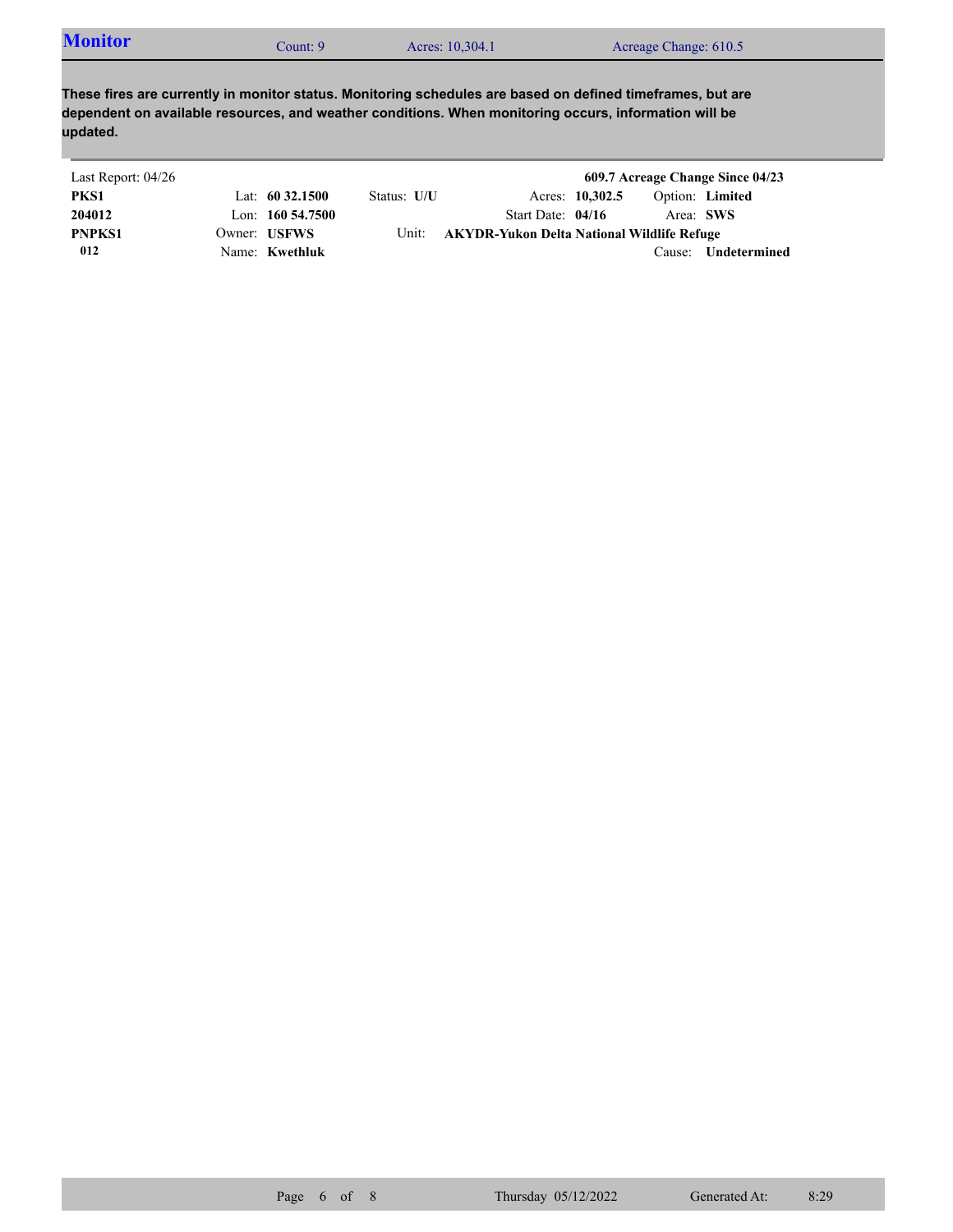| <b>Monitor</b> | count: 9 | Acres: 10,304.1 | Acreage Change: 610.5 |  |
|----------------|----------|-----------------|-----------------------|--|
|----------------|----------|-----------------|-----------------------|--|

**These fires are currently in monitor status. Monitoring schedules are based on defined timeframes, but are dependent on available resources, and weather conditions. When monitoring occurs, information will be updated.**

| Last Report: 04/26 |                     |             |                                            |                 |           | 609.7 Acreage Change Since 04/23 |  |
|--------------------|---------------------|-------------|--------------------------------------------|-----------------|-----------|----------------------------------|--|
| PKS1               | Lat: $60\,32.1500$  | Status: U/U |                                            | Acres: 10,302.5 |           | Option: Limited                  |  |
| 204012             | Lon: $160\,54.7500$ |             | Start Date: $04/16$                        |                 | Area: SWS |                                  |  |
| <b>PNPKS1</b>      | Owner: USFWS        | Unit:       | AKYDR-Yukon Delta National Wildlife Refuge |                 |           |                                  |  |
| 012                | Name: Kwethluk      |             |                                            |                 | Cause:    | Undetermined                     |  |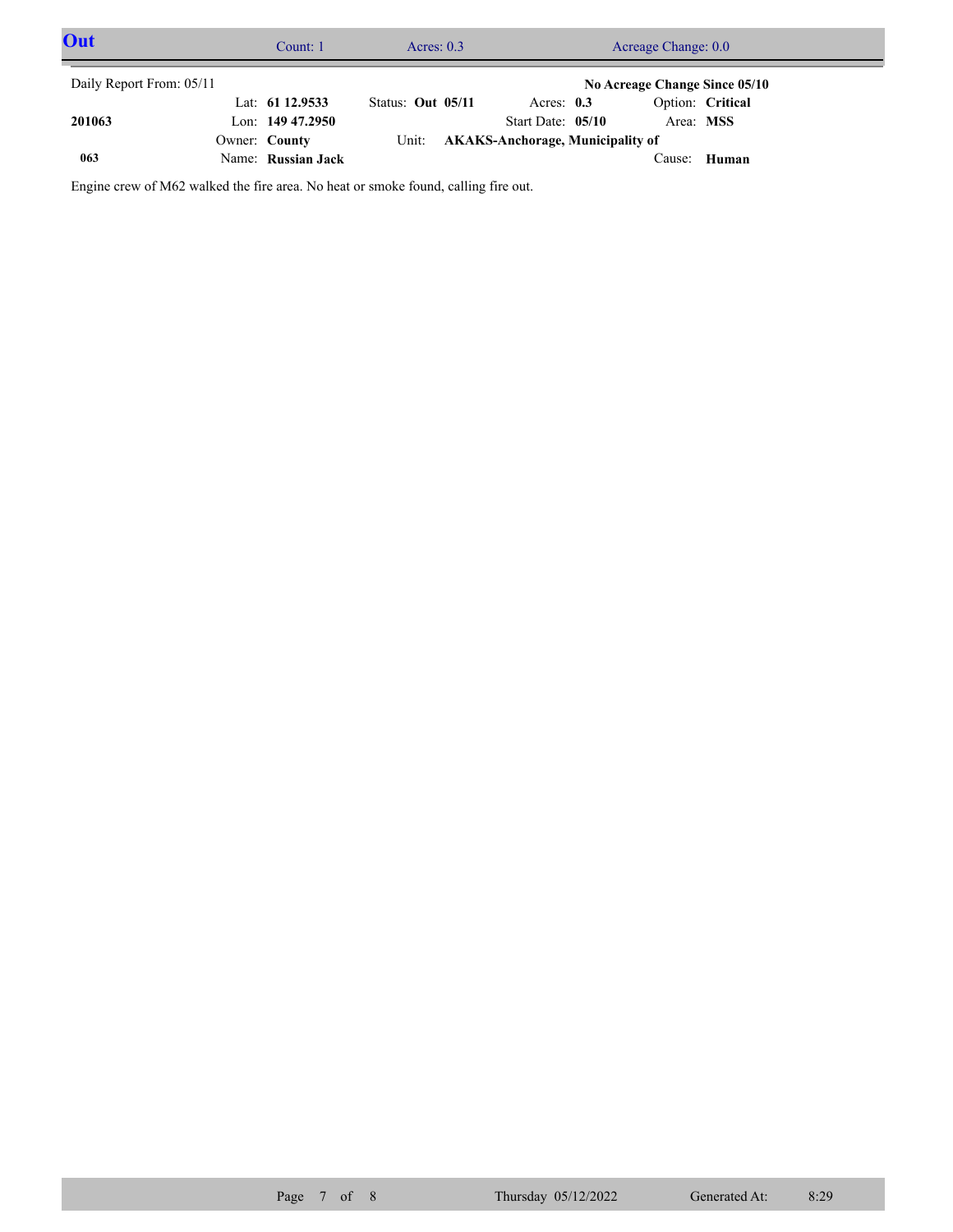| Out                                                       |  | Count: 1           | Acres: $0.3$      |  | Acreage Change: 0.0                    |  |           |                  |  |
|-----------------------------------------------------------|--|--------------------|-------------------|--|----------------------------------------|--|-----------|------------------|--|
| Daily Report From: 05/11<br>No Acreage Change Since 05/10 |  |                    |                   |  |                                        |  |           |                  |  |
|                                                           |  | Lat: 61 12.9533    | Status: Out 05/11 |  | Acres: $0.3$                           |  |           | Option: Critical |  |
| 201063                                                    |  | Lon: $14947.2950$  |                   |  | Start Date: 05/10                      |  | Area: MSS |                  |  |
|                                                           |  | Owner: County      |                   |  | Unit: AKAKS-Anchorage, Municipality of |  |           |                  |  |
| 063                                                       |  | Name: Russian Jack |                   |  |                                        |  | Cause:    | Human            |  |

Engine crew of M62 walked the fire area. No heat or smoke found, calling fire out.